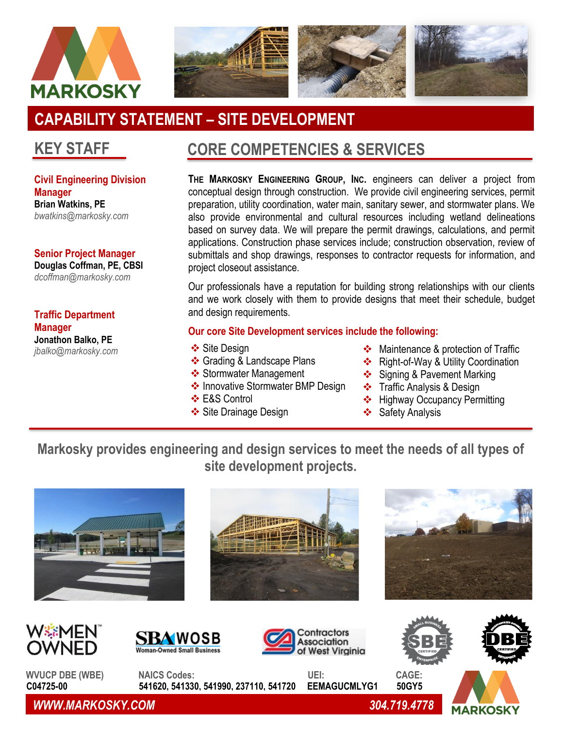



# **CAPABILITY STATEMENT – SITE DEVELOPMENT**

## **KEY STAFF**

**Civil Engineering Division Manager Brian Watkins, PE** *bwatkins@markosky.com*

**Senior Project Manager Douglas Coffman, PE, CBSI**

*dcoffman@markosky.com*

**Traffic Department Manager Jonathon Balko, PE** *jbalko@markosky.com*

## **CORE COMPETENCIES & SERVICES**

**THE MARKOSKY ENGINEERING GROUP, INC.** engineers can deliver a project from conceptual design through construction. We provide civil engineering services, permit preparation, utility coordination, water main, sanitary sewer, and stormwater plans. We also provide environmental and cultural resources including wetland delineations based on survey data. We will prepare the permit drawings, calculations, and permit applications. Construction phase services include; construction observation, review of submittals and shop drawings, responses to contractor requests for information, and project closeout assistance.

Our professionals have a reputation for building strong relationships with our clients and we work closely with them to provide designs that meet their schedule, budget and design requirements.

#### **Our core Site Development services include the following:**

- ❖ Site Design
- ❖ Grading & Landscape Plans
- ❖ Stormwater Management
- ❖ Innovative Stormwater BMP Design
- ❖ E&S Control
- ❖ Site Drainage Design
- ❖ Maintenance & protection of Traffic
- ❖ Right-of-Way & Utility Coordination
- ❖ Signing & Pavement Marking
- ❖ Traffic Analysis & Design
- ❖ Highway Occupancy Permitting
- ❖ Safety Analysis

**Markosky provides engineering and design services to meet the needs of all types of site development projects.**















**WVUCP DBE (WBE) NAICS Codes: UEI: CAGE: C04725-00 541620, 541330, 541990, 237110, 541720 EEMAGUCMLYG1 50GY5**

*WWW.MARKOSKY.COM 304.719.4778*